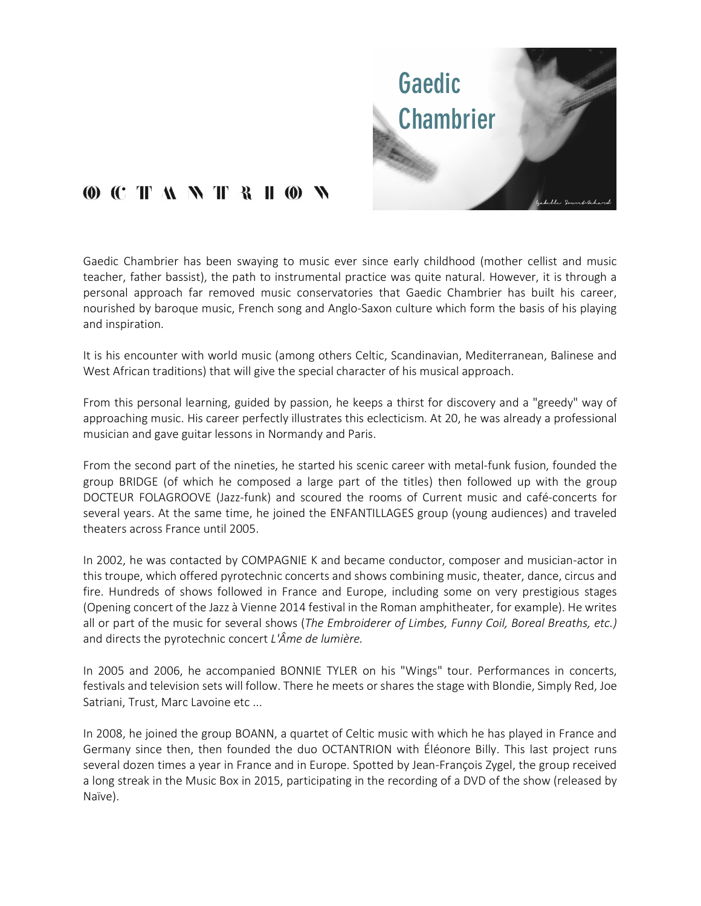

## **(0) (C T A N T R H @ N**

Gaedic Chambrier has been swaying to music ever since early childhood (mother cellist and music teacher, father bassist), the path to instrumental practice was quite natural. However, it is through a personal approach far removed music conservatories that Gaedic Chambrier has built his career, nourished by baroque music, French song and Anglo-Saxon culture which form the basis of his playing and inspiration.

 It is his encounter with world music (among others Celtic, Scandinavian, Mediterranean, Balinese and West African traditions) that will give the special character of his musical approach.

 From this personal learning, guided by passion, he keeps a thirst for discovery and a "greedy" way of approaching music. His career perfectly illustrates this eclecticism. At 20, he was already a professional musician and gave guitar lessons in Normandy and Paris.

From the second part of the nineties, he started his scenic career with metal-funk fusion, founded the group BRIDGE (of which he composed a large part of the titles) then followed up with the group DOCTEUR FOLAGROOVE (Jazz-funk) and scoured the rooms of Current music and café-concerts for several years. At the same time, he joined the ENFANTILLAGES group (young audiences) and traveled theaters across France until 2005.

 In 2002, he was contacted by COMPAGNIE K and became conductor, composer and musician-actor in this troupe, which offered pyrotechnic concerts and shows combining music, theater, dance, circus and fire. Hundreds of shows followed in France and Europe, including some on very prestigious stages (Opening concert of the Jazz à Vienne 2014 festival in the Roman amphitheater, for example). He writes all or part of the music for several shows (The Embroiderer of Limbes, Funny Coil, Boreal Breaths, etc.) and directs the pyrotechnic concert  $L'$ *Ame de lumière.* 

In 2005 and 2006, he accompanied BONNIE TYLER on his "Wings" tour. Performances in concerts, festivals and television sets will follow. There he meets or shares the stage with Blondie, Simply Red, Joe Satriani, Trust, Marc Lavoine etc ...

In 2008, he joined the group BOANN, a quartet of Celtic music with which he has played in France and Germany since then, then founded the duo OCTANTRION with Éléonore Billy. This last project runs several dozen times a year in France and in Europe. Spotted by Jean-François Zygel, the group received a long streak in the Music Box in 2015, participating in the recording of a DVD of the show (released by Naïve).